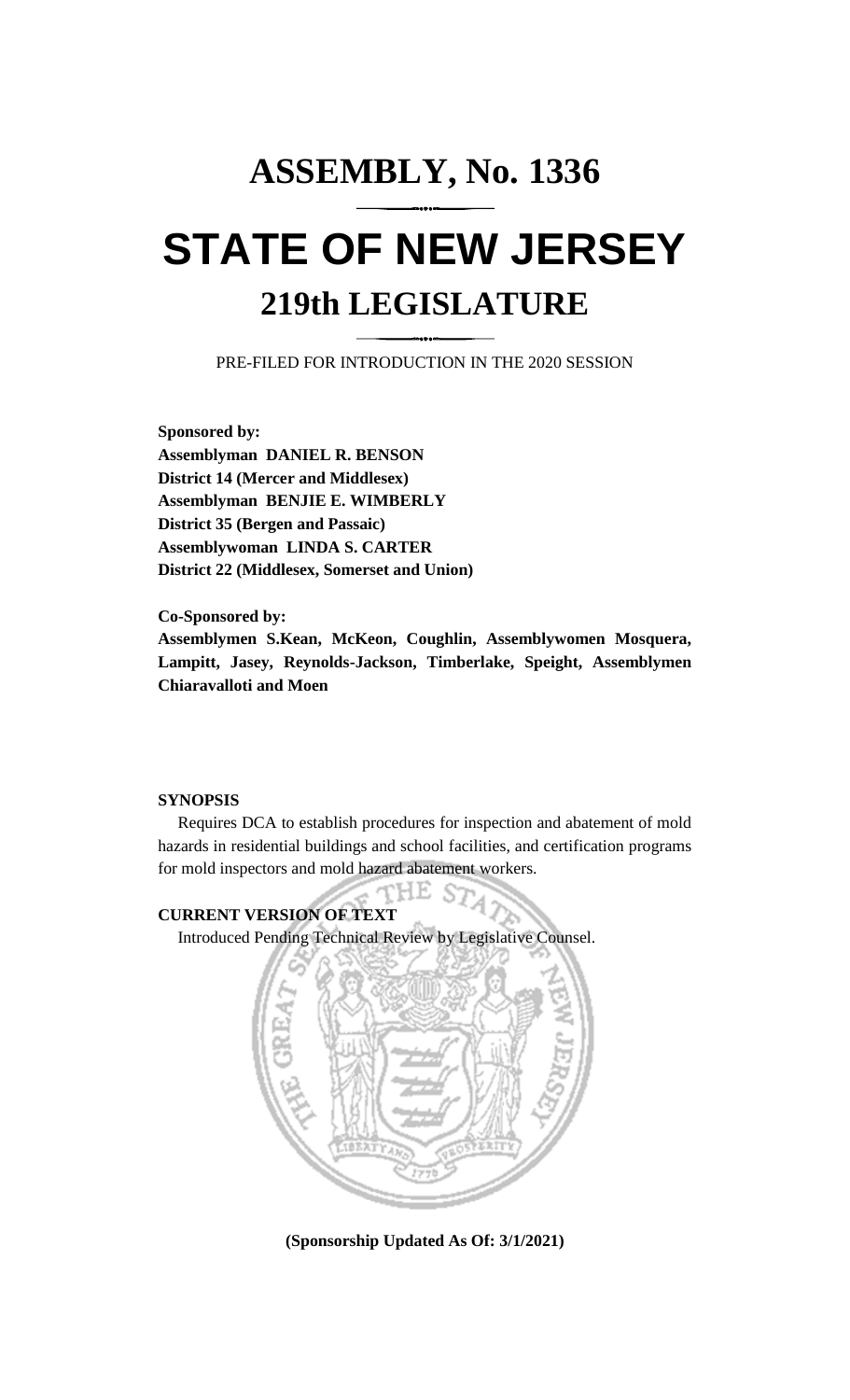## **ASSEMBLY, No. 1336 STATE OF NEW JERSEY 219th LEGISLATURE**

PRE-FILED FOR INTRODUCTION IN THE 2020 SESSION

**Sponsored by: Assemblyman DANIEL R. BENSON District 14 (Mercer and Middlesex) Assemblyman BENJIE E. WIMBERLY District 35 (Bergen and Passaic) Assemblywoman LINDA S. CARTER District 22 (Middlesex, Somerset and Union)**

**Co-Sponsored by: Assemblymen S.Kean, McKeon, Coughlin, Assemblywomen Mosquera, Lampitt, Jasey, Reynolds-Jackson, Timberlake, Speight, Assemblymen Chiaravalloti and Moen**

## **SYNOPSIS**

Requires DCA to establish procedures for inspection and abatement of mold hazards in residential buildings and school facilities, and certification programs for mold inspectors and mold hazard abatement workers.

PH.E.

**CURRENT VERSION OF TEXT**  Introduced Pending Technical Review by Legislative Counsel.



**(Sponsorship Updated As Of: 3/1/2021)**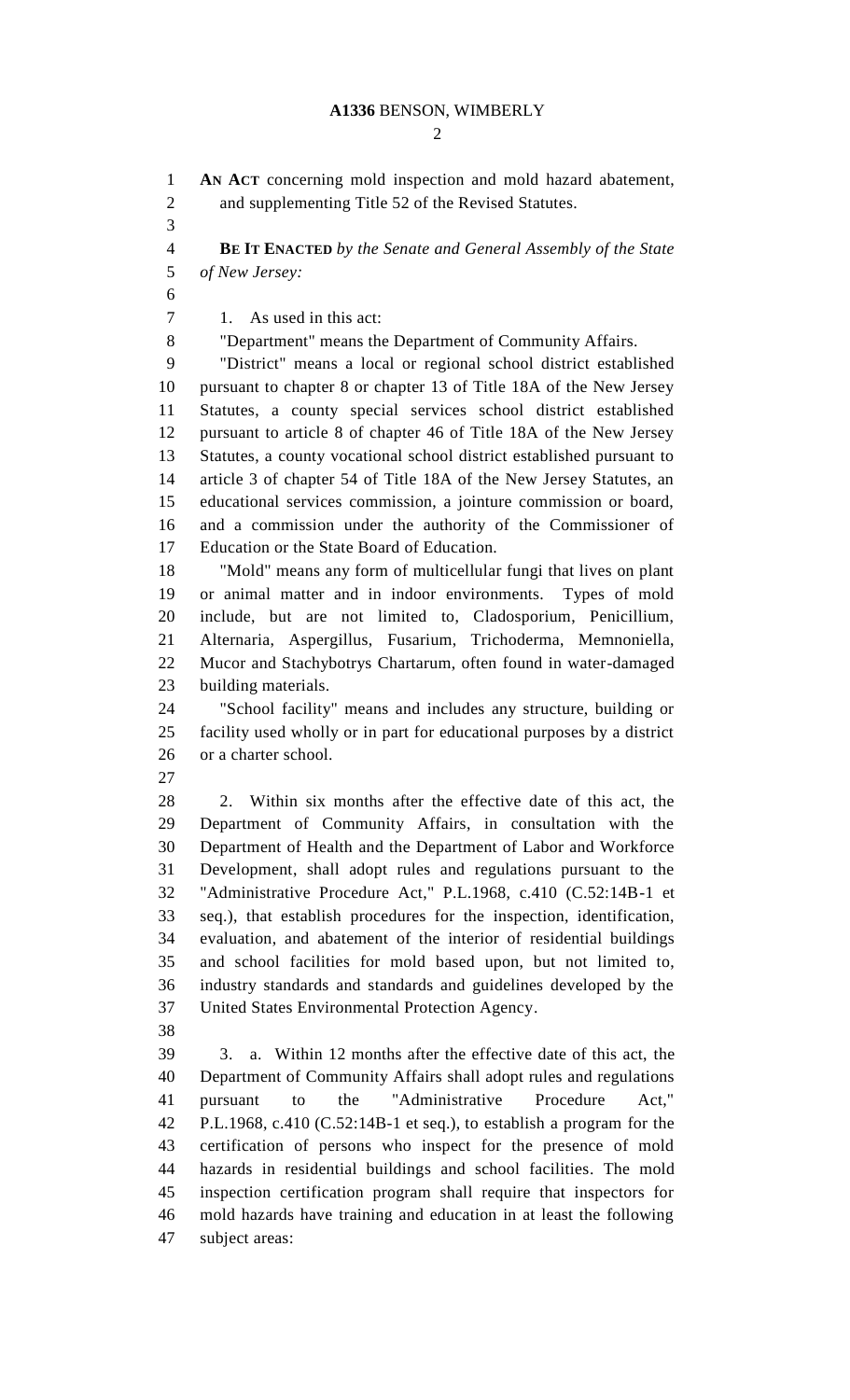## **A1336** BENSON, WIMBERLY

 $\mathcal{D}_{\mathcal{L}}$ 

 **AN ACT** concerning mold inspection and mold hazard abatement, and supplementing Title 52 of the Revised Statutes. **BE IT ENACTED** *by the Senate and General Assembly of the State of New Jersey:* 1. As used in this act: "Department" means the Department of Community Affairs. "District" means a local or regional school district established pursuant to chapter 8 or chapter 13 of Title 18A of the New Jersey Statutes, a county special services school district established pursuant to article 8 of chapter 46 of Title 18A of the New Jersey Statutes, a county vocational school district established pursuant to article 3 of chapter 54 of Title 18A of the New Jersey Statutes, an educational services commission, a jointure commission or board, and a commission under the authority of the Commissioner of Education or the State Board of Education. "Mold" means any form of multicellular fungi that lives on plant or animal matter and in indoor environments. Types of mold include, but are not limited to, Cladosporium, Penicillium, Alternaria, Aspergillus, Fusarium, Trichoderma, Memnoniella, Mucor and Stachybotrys Chartarum, often found in water-damaged building materials. "School facility" means and includes any structure, building or facility used wholly or in part for educational purposes by a district or a charter school. 2. Within six months after the effective date of this act, the Department of Community Affairs, in consultation with the Department of Health and the Department of Labor and Workforce Development, shall adopt rules and regulations pursuant to the "Administrative Procedure Act," P.L.1968, c.410 (C.52:14B-1 et seq.), that establish procedures for the inspection, identification, evaluation, and abatement of the interior of residential buildings and school facilities for mold based upon, but not limited to, industry standards and standards and guidelines developed by the United States Environmental Protection Agency. 3. a. Within 12 months after the effective date of this act, the Department of Community Affairs shall adopt rules and regulations pursuant to the "Administrative Procedure Act," P.L.1968, c.410 (C.52:14B-1 et seq.), to establish a program for the certification of persons who inspect for the presence of mold hazards in residential buildings and school facilities. The mold inspection certification program shall require that inspectors for mold hazards have training and education in at least the following subject areas: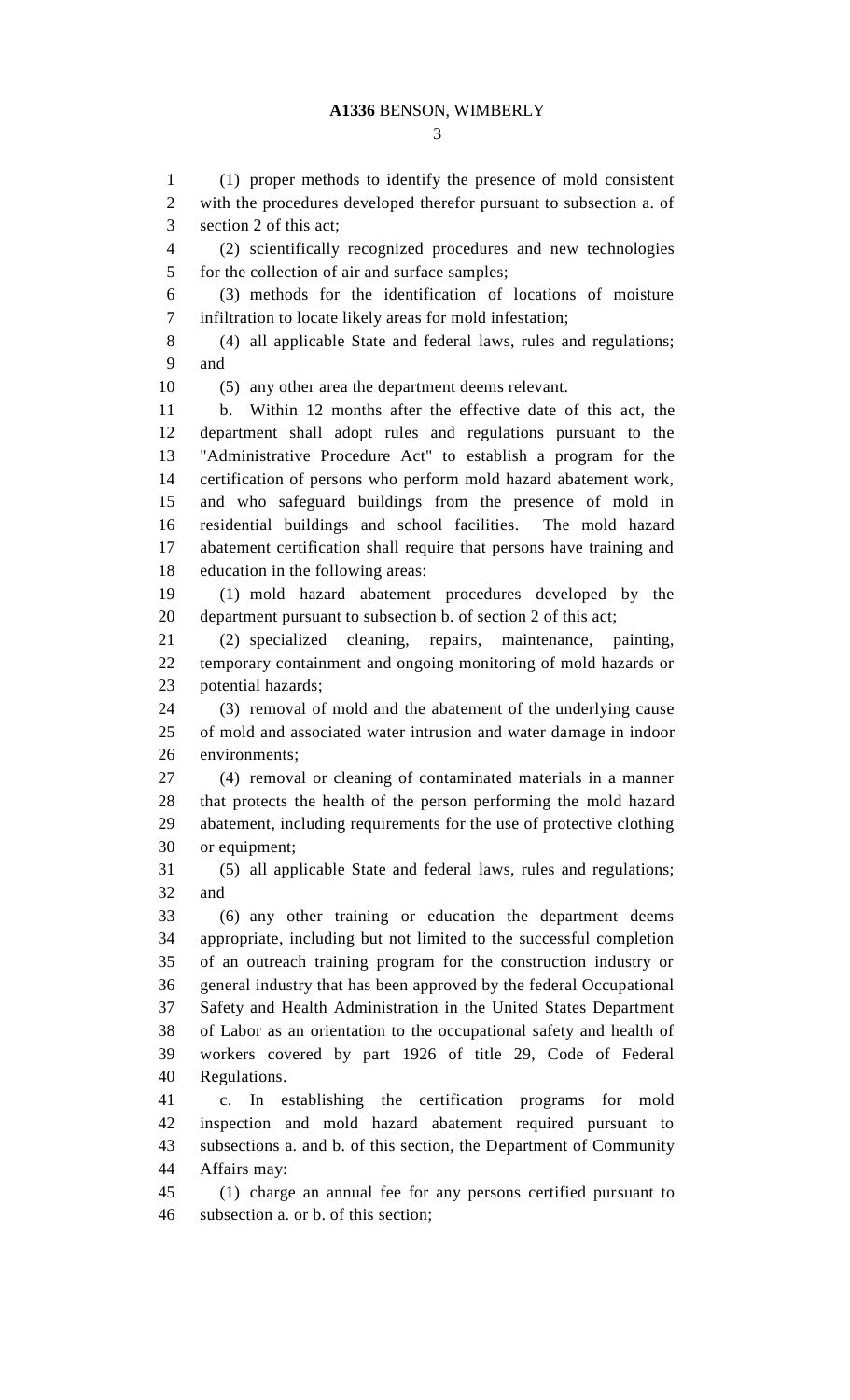(1) proper methods to identify the presence of mold consistent with the procedures developed therefor pursuant to subsection a. of section 2 of this act; (2) scientifically recognized procedures and new technologies for the collection of air and surface samples; (3) methods for the identification of locations of moisture infiltration to locate likely areas for mold infestation; (4) all applicable State and federal laws, rules and regulations; and (5) any other area the department deems relevant. b. Within 12 months after the effective date of this act, the department shall adopt rules and regulations pursuant to the "Administrative Procedure Act" to establish a program for the certification of persons who perform mold hazard abatement work, and who safeguard buildings from the presence of mold in residential buildings and school facilities. The mold hazard abatement certification shall require that persons have training and education in the following areas: (1) mold hazard abatement procedures developed by the department pursuant to subsection b. of section 2 of this act; (2) specialized cleaning, repairs, maintenance, painting, temporary containment and ongoing monitoring of mold hazards or potential hazards; (3) removal of mold and the abatement of the underlying cause of mold and associated water intrusion and water damage in indoor environments; (4) removal or cleaning of contaminated materials in a manner that protects the health of the person performing the mold hazard abatement, including requirements for the use of protective clothing or equipment; (5) all applicable State and federal laws, rules and regulations; and (6) any other training or education the department deems appropriate, including but not limited to the successful completion of an outreach training program for the construction industry or general industry that has been approved by the federal Occupational Safety and Health Administration in the United States Department of Labor as an orientation to the occupational safety and health of workers covered by part 1926 of title 29, Code of Federal Regulations. c. In establishing the certification programs for mold inspection and mold hazard abatement required pursuant to subsections a. and b. of this section, the Department of Community Affairs may: (1) charge an annual fee for any persons certified pursuant to subsection a. or b. of this section;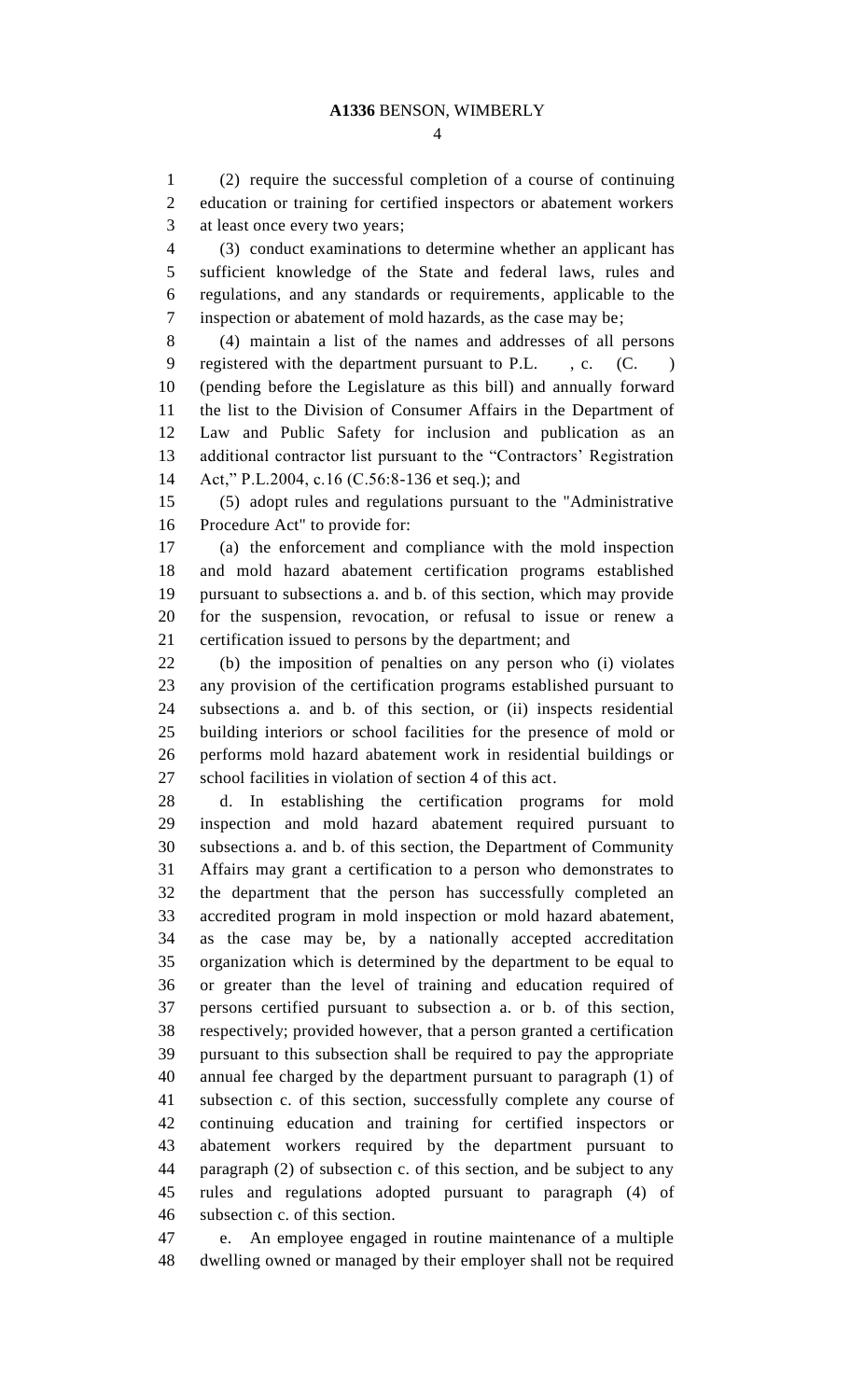(2) require the successful completion of a course of continuing education or training for certified inspectors or abatement workers at least once every two years;

 (3) conduct examinations to determine whether an applicant has sufficient knowledge of the State and federal laws, rules and regulations, and any standards or requirements, applicable to the inspection or abatement of mold hazards, as the case may be;

 (4) maintain a list of the names and addresses of all persons 9 registered with the department pursuant to P.L., c. (C.) (pending before the Legislature as this bill) and annually forward the list to the Division of Consumer Affairs in the Department of Law and Public Safety for inclusion and publication as an additional contractor list pursuant to the "Contractors' Registration Act," P.L.2004, c.16 (C.56:8-136 et seq.); and

 (5) adopt rules and regulations pursuant to the "Administrative Procedure Act" to provide for:

 (a) the enforcement and compliance with the mold inspection and mold hazard abatement certification programs established pursuant to subsections a. and b. of this section, which may provide for the suspension, revocation, or refusal to issue or renew a certification issued to persons by the department; and

 (b) the imposition of penalties on any person who (i) violates any provision of the certification programs established pursuant to subsections a. and b. of this section, or (ii) inspects residential building interiors or school facilities for the presence of mold or performs mold hazard abatement work in residential buildings or school facilities in violation of section 4 of this act.

 d. In establishing the certification programs for mold inspection and mold hazard abatement required pursuant to subsections a. and b. of this section, the Department of Community Affairs may grant a certification to a person who demonstrates to the department that the person has successfully completed an accredited program in mold inspection or mold hazard abatement, as the case may be, by a nationally accepted accreditation organization which is determined by the department to be equal to or greater than the level of training and education required of persons certified pursuant to subsection a. or b. of this section, respectively; provided however, that a person granted a certification pursuant to this subsection shall be required to pay the appropriate annual fee charged by the department pursuant to paragraph (1) of subsection c. of this section, successfully complete any course of continuing education and training for certified inspectors or abatement workers required by the department pursuant to paragraph (2) of subsection c. of this section, and be subject to any rules and regulations adopted pursuant to paragraph (4) of subsection c. of this section.

 e. An employee engaged in routine maintenance of a multiple dwelling owned or managed by their employer shall not be required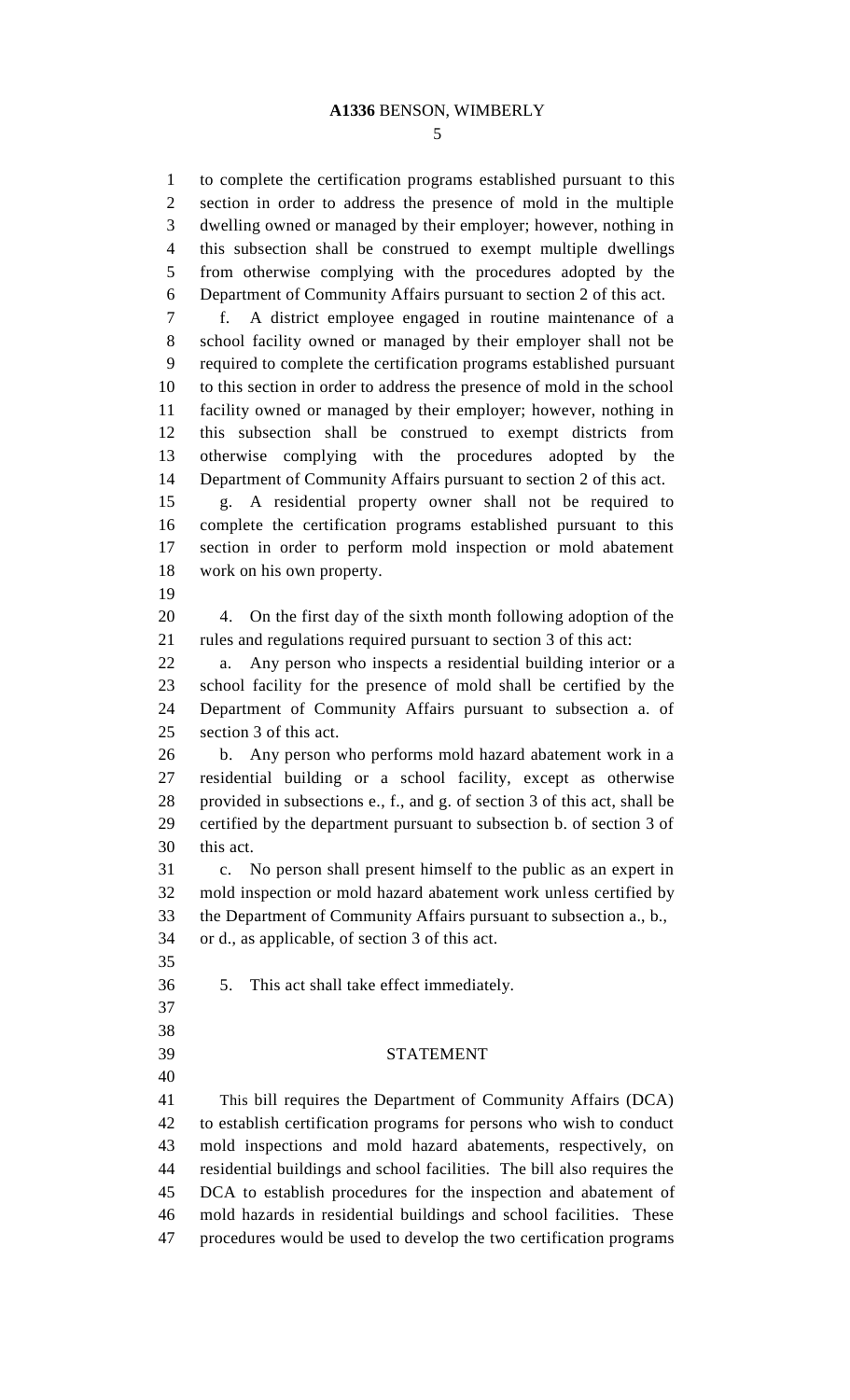to complete the certification programs established pursuant to this section in order to address the presence of mold in the multiple dwelling owned or managed by their employer; however, nothing in this subsection shall be construed to exempt multiple dwellings from otherwise complying with the procedures adopted by the Department of Community Affairs pursuant to section 2 of this act. f. A district employee engaged in routine maintenance of a school facility owned or managed by their employer shall not be required to complete the certification programs established pursuant to this section in order to address the presence of mold in the school facility owned or managed by their employer; however, nothing in this subsection shall be construed to exempt districts from otherwise complying with the procedures adopted by the Department of Community Affairs pursuant to section 2 of this act. g. A residential property owner shall not be required to complete the certification programs established pursuant to this section in order to perform mold inspection or mold abatement work on his own property. 4. On the first day of the sixth month following adoption of the rules and regulations required pursuant to section 3 of this act: a. Any person who inspects a residential building interior or a school facility for the presence of mold shall be certified by the Department of Community Affairs pursuant to subsection a. of section 3 of this act. b. Any person who performs mold hazard abatement work in a residential building or a school facility, except as otherwise provided in subsections e., f., and g. of section 3 of this act, shall be certified by the department pursuant to subsection b. of section 3 of this act. c. No person shall present himself to the public as an expert in mold inspection or mold hazard abatement work unless certified by the Department of Community Affairs pursuant to subsection a., b., or d., as applicable, of section 3 of this act. 5. This act shall take effect immediately. STATEMENT This bill requires the Department of Community Affairs (DCA) to establish certification programs for persons who wish to conduct mold inspections and mold hazard abatements, respectively, on residential buildings and school facilities. The bill also requires the DCA to establish procedures for the inspection and abatement of mold hazards in residential buildings and school facilities. These procedures would be used to develop the two certification programs